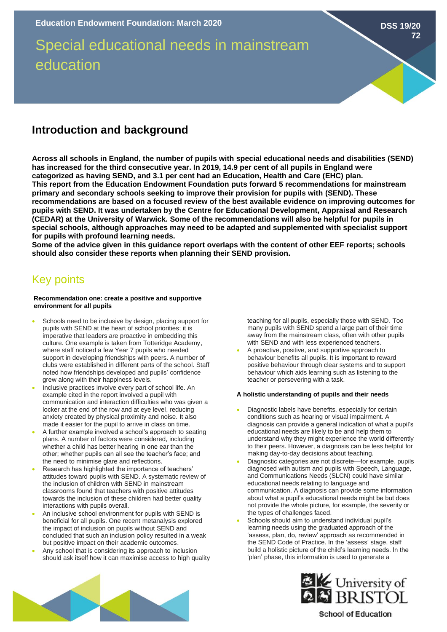# Special educational needs in mainstream education

### **Introduction and background**

**Across all schools in England, the number of pupils with special educational needs and disabilities (SEND) has increased for the third consecutive year. In 2019, 14.9 per cent of all pupils in England were categorized as having SEND, and 3.1 per cent had an Education, Health and Care (EHC) plan. This report from the Education Endowment Foundation puts forward 5 recommendations for mainstream primary and secondary schools seeking to improve their provision for pupils with (SEND). These recommendations are based on a focused review of the best available evidence on improving outcomes for pupils with SEND. It was undertaken by the Centre for Educational Development, Appraisal and Research (CEDAR) at the University of Warwick. Some of the recommendations will also be helpful for pupils in special schools, although approaches may need to be adapted and supplemented with specialist support for pupils with profound learning needs.** 

**Some of the advice given in this guidance report overlaps with the content of other EEF reports; schools should also consider these reports when planning their SEND provision.** 

## Key points

#### **Recommendation one: create a positive and supportive environment for all pupils**

- Schools need to be inclusive by design, placing support for pupils with SEND at the heart of school priorities; it is imperative that leaders are proactive in embedding this culture. One example is taken from Totteridge Academy, where staff noticed a few Year 7 pupils who needed support in developing friendships with peers. A number of clubs were established in different parts of the school. Staff noted how friendships developed and pupils' confidence grew along with their happiness levels.
- Inclusive practices involve every part of school life. An example cited in the report involved a pupil with communication and interaction difficulties who was given a locker at the end of the row and at eye level, reducing anxiety created by physical proximity and noise. It also made it easier for the pupil to arrive in class on time.
- A further example involved a school's approach to seating plans. A number of factors were considered, including whether a child has better hearing in one ear than the other; whether pupils can all see the teacher's face; and the need to minimise glare and reflections.
- Research has highlighted the importance of teachers' attitudes toward pupils with SEND. A systematic review of the inclusion of children with SEND in mainstream classrooms found that teachers with positive attitudes towards the inclusion of these children had better quality interactions with pupils overall.
- An inclusive school environment for pupils with SEND is beneficial for all pupils. One recent metanalysis explored the impact of inclusion on pupils without SEND and concluded that such an inclusion policy resulted in a weak but positive impact on their academic outcomes.
- Any school that is considering its approach to inclusion should ask itself how it can maximise access to high quality

teaching for all pupils, especially those with SEND. Too many pupils with SEND spend a large part of their time away from the mainstream class, often with other pupils with SEND and with less experienced teachers.

**DSS 19/20**

**72**

• A proactive, positive, and supportive approach to behaviour benefits all pupils. It is important to reward positive behaviour through clear systems and to support behaviour which aids learning such as listening to the teacher or persevering with a task.

#### **A holistic understanding of pupils and their needs**

- Diagnostic labels have benefits, especially for certain conditions such as hearing or visual impairment. A diagnosis can provide a general indication of what a pupil's educational needs are likely to be and help them to understand why they might experience the world differently to their peers. However, a diagnosis can be less helpful for making day-to-day decisions about teaching.
- Diagnostic categories are not discrete—for example, pupils diagnosed with autism and pupils with Speech, Language, and Communications Needs (SLCN) could have similar educational needs relating to language and communication. A diagnosis can provide some information about what a pupil's educational needs might be but does not provide the whole picture, for example, the severity or the types of challenges faced.
- Schools should aim to understand individual pupil's learning needs using the graduated approach of the 'assess, plan, do, review' approach as recommended in the SEND Code of Practice. In the 'assess' stage, staff build a holistic picture of the child's learning needs. In the 'plan' phase, this information is used to generate a





**School of Education**